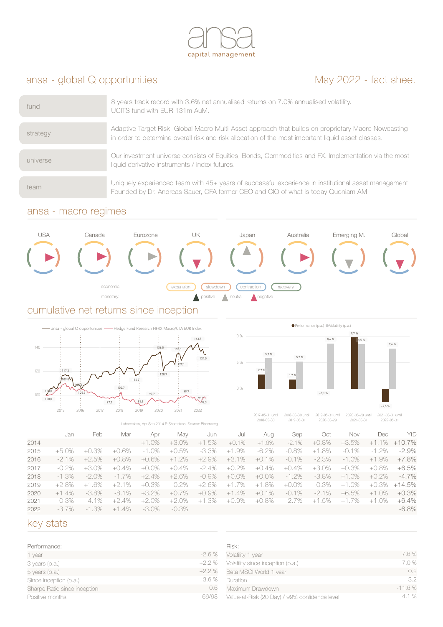

# ansa - global Q opportunities May 2022 - fact sheet

| fund     | 8 years track record with 3.6% net annualised returns on 7.0% annualised volatility.<br>UCITS fund with EUR 131m AuM.                                                                                     |
|----------|-----------------------------------------------------------------------------------------------------------------------------------------------------------------------------------------------------------|
| strategy | Adaptive Target Risk: Global Macro Multi-Asset approach that builds on proprietary Macro Nowcasting<br>in order to determine overall risk and risk allocation of the most important liquid asset classes. |
| universe | Our investment universe consists of Equities, Bonds, Commodities and FX. Implementation via the most<br>liquid derivative instruments / index futures.                                                    |
| team     | Uniquely experienced team with 45+ years of successful experience in institutional asset management.<br>Founded by Dr. Andreas Sauer, CFA former CEO and CIO of what is today Quoniam AM.                 |

### ansa - macro regimes



### cumulative net returns since inception





2018-05-30 until 2019-05-31 2019-05-31 until 2020-05-29

2017-05-31 until 2018-05-30

2020-05-29 until 2021-05-31 2021-05-31 until 2022-05-31

|      | I-shareclass, Apr-Sep 2014 P-Shareclass, Source: Bloomberg |          |          |                |          | CUID-UJ-JU | CUID-UJ-JI   | CUCUTUJTEJ   | CUCITUJTJI | CULL UJ-JI |          |             |           |
|------|------------------------------------------------------------|----------|----------|----------------|----------|------------|--------------|--------------|------------|------------|----------|-------------|-----------|
|      | Jan                                                        | Feb      | Mar      | Apr            | Mav      | Jun        | Jul          | Aug          | Sep        | Oct        | Nov      | Dec         | YtD       |
| 2014 |                                                            |          |          | $+1.0%$        | $+3.0%$  | $+1.5%$    | $+0.1%$      | $+1.6%$      | $-2.1%$    | $+0.8%$    | +3.5%    | $+1.1\%$    | $+10.7\%$ |
| 2015 | $+5.0\%$                                                   | .3%      | $+0.6%$  | $-1.0\%$       | $+0.5%$  | $-3.3\%$   | $+1.9%$      | $-6.2\%$     | $-0.8%$    | $+1.8%$    | $-0.1\%$ | $-1.2\%$    | -2.9%     |
| 2016 | $-2.1\%$                                                   | $+2.5%$  | $+0.8%$  | $+0.6\%$       | $+1.2%$  | $+2.9%$    | $+3.1%$      | $+0.1%$      | $-0.1\%$   | $-2.3\%$   | $-1.0\%$ | $+1.9%$     | $+7.8\%$  |
| 2017 | $-0.2\%$                                                   | $+3.0\%$ | $+0.4%$  | .0%<br>$+()$ . | $+0.4%$  | $-2.4\%$   | .2%<br>$+()$ | .4%<br>$+$ O | $+0.4\%$   | +3.0%      | +0.3%    | +0.8%       | +6.5%     |
| 2018 | $-1.3%$                                                    | $-2.0\%$ | $-1.7\%$ | $+2.4%$        | $+2.6%$  | $-0.9\%$   | $+0.0\%$     | $+0.0\%$     | $-1.2\%$   | $-3.8\%$   | $+1.0%$  | $+0.2\%$    | $-4.7\%$  |
| 2019 | +2.8%                                                      | $+1.6%$  | $+2.1%$  | $+0.3\%$       | $-0.2\%$ | $+2.6%$    | 1.7%<br>$+1$ | .8%<br>$+1$  | $+0.0\%$   | $-0.3\%$   | $+1.0%$  | +0.3%       | +14.5%    |
| 2020 | $+1.4%$                                                    | $-3.8\%$ | $-8.1\%$ | $+3.2%$        | $+0.7%$  | $+0.9\%$   | $+1.4%$      | $+0.1%$      | $-0.1%$    | $-2.1\%$   | $+6.5%$  | .0%<br>$+1$ | $+0.3\%$  |
| 2021 | $-0.3\%$                                                   | $-4.1\%$ | +2.4%    | $+2.0\%$       | $+2.0%$  | $+1.3%$    | +0.9%        | +0.8%        | -2.7%      | $+1.5%$    | $+1.7\%$ | $+1.0\%$    | +6.4%     |
| 2022 | $-3.7\%$                                                   | $-1.3%$  | $+1.4%$  | $-3.0\%$       | -0.3%    |            |              |              |            |            |          |             | $-6.8\%$  |

### key stats

| Performance:                 |         |
|------------------------------|---------|
| 1 year                       | $-2.6%$ |
| 3 years (p.a.)               | $+2.2%$ |
| 5 years (p.a.)               | $+2.2%$ |
| Since inception (p.a.)       | $+3.6%$ |
| Sharpe Ratio since inception | 0.6     |
| Positive months              | 66/98   |

| Risk:                                         |          |
|-----------------------------------------------|----------|
| Volatility 1 year                             | 7.6%     |
| Volatility since inception (p.a.)             | 7.0%     |
| Beta MSCI World 1 year                        | 02       |
| Duration                                      | -3.2     |
| Maximum Drawdown                              | $-11.6%$ |
| Value-at-Risk (20 Day) / 99% confidence level | 4.1%     |